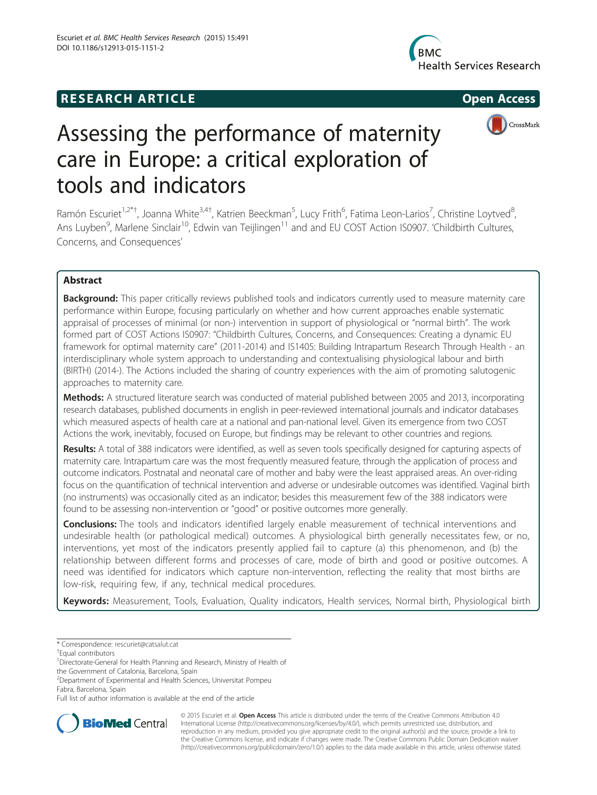## **RESEARCH ARTICLE Example 2014 12:30 The SEAR CHA RTICLE**





# Assessing the performance of maternity care in Europe: a critical exploration of tools and indicators

Ramón Escuriet<sup>1,2\*†</sup>, Joanna White<sup>3,4†</sup>, Katrien Beeckman<sup>5</sup>, Lucy Frith<sup>6</sup>, Fatima Leon-Larios<sup>7</sup>, Christine Loytved<sup>8</sup> , Ans Luyben<sup>9</sup>, Marlene Sinclair<sup>10</sup>, Edwin van Teijlingen<sup>11</sup> and and EU COST Action IS0907. 'Childbirth Cultures, Concerns, and Consequences'

## Abstract

Background: This paper critically reviews published tools and indicators currently used to measure maternity care performance within Europe, focusing particularly on whether and how current approaches enable systematic appraisal of processes of minimal (or non-) intervention in support of physiological or "normal birth". The work formed part of COST Actions IS0907: "Childbirth Cultures, Concerns, and Consequences: Creating a dynamic EU framework for optimal maternity care" (2011-2014) and IS1405: Building Intrapartum Research Through Health - an interdisciplinary whole system approach to understanding and contextualising physiological labour and birth (BIRTH) (2014-). The Actions included the sharing of country experiences with the aim of promoting salutogenic approaches to maternity care.

Methods: A structured literature search was conducted of material published between 2005 and 2013, incorporating research databases, published documents in english in peer-reviewed international journals and indicator databases which measured aspects of health care at a national and pan-national level. Given its emergence from two COST Actions the work, inevitably, focused on Europe, but findings may be relevant to other countries and regions.

Results: A total of 388 indicators were identified, as well as seven tools specifically designed for capturing aspects of maternity care. Intrapartum care was the most frequently measured feature, through the application of process and outcome indicators. Postnatal and neonatal care of mother and baby were the least appraised areas. An over-riding focus on the quantification of technical intervention and adverse or undesirable outcomes was identified. Vaginal birth (no instruments) was occasionally cited as an indicator; besides this measurement few of the 388 indicators were found to be assessing non-intervention or "good" or positive outcomes more generally.

Conclusions: The tools and indicators identified largely enable measurement of technical interventions and undesirable health (or pathological medical) outcomes. A physiological birth generally necessitates few, or no, interventions, yet most of the indicators presently applied fail to capture (a) this phenomenon, and (b) the relationship between different forms and processes of care, mode of birth and good or positive outcomes. A need was identified for indicators which capture non-intervention, reflecting the reality that most births are low-risk, requiring few, if any, technical medical procedures.

Keywords: Measurement, Tools, Evaluation, Quality indicators, Health services, Normal birth, Physiological birth

\* Correspondence: [rescuriet@catsalut.cat](mailto:rescuriet@catsalut.cat) †

<sup>1</sup>Directorate-General for Health Planning and Research, Ministry of Health of

the Government of Catalonia, Barcelona, Spain

<sup>2</sup> Department of Experimental and Health Sciences, Universitat Pompeu

Full list of author information is available at the end of the article



© 2015 Escuriet et al. Open Access This article is distributed under the terms of the Creative Commons Attribution 4.0 International License [\(http://creativecommons.org/licenses/by/4.0/](http://creativecommons.org/licenses/by/4.0/)), which permits unrestricted use, distribution, and reproduction in any medium, provided you give appropriate credit to the original author(s) and the source, provide a link to the Creative Commons license, and indicate if changes were made. The Creative Commons Public Domain Dedication waiver [\(http://creativecommons.org/publicdomain/zero/1.0/](http://creativecommons.org/publicdomain/zero/1.0/)) applies to the data made available in this article, unless otherwise stated.

Equal contributors

Fabra, Barcelona, Spain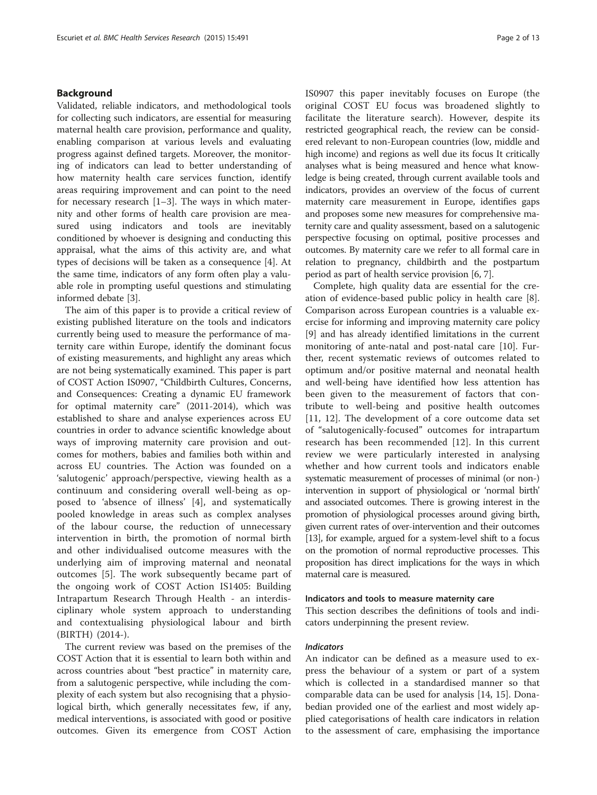## Background

Validated, reliable indicators, and methodological tools for collecting such indicators, are essential for measuring maternal health care provision, performance and quality, enabling comparison at various levels and evaluating progress against defined targets. Moreover, the monitoring of indicators can lead to better understanding of how maternity health care services function, identify areas requiring improvement and can point to the need for necessary research [[1](#page-11-0)–[3](#page-11-0)]. The ways in which maternity and other forms of health care provision are measured using indicators and tools are inevitably conditioned by whoever is designing and conducting this appraisal, what the aims of this activity are, and what types of decisions will be taken as a consequence [[4\]](#page-11-0). At the same time, indicators of any form often play a valuable role in prompting useful questions and stimulating informed debate [[3\]](#page-11-0).

The aim of this paper is to provide a critical review of existing published literature on the tools and indicators currently being used to measure the performance of maternity care within Europe, identify the dominant focus of existing measurements, and highlight any areas which are not being systematically examined. This paper is part of COST Action IS0907, "Childbirth Cultures, Concerns, and Consequences: Creating a dynamic EU framework for optimal maternity care" (2011-2014), which was established to share and analyse experiences across EU countries in order to advance scientific knowledge about ways of improving maternity care provision and outcomes for mothers, babies and families both within and across EU countries. The Action was founded on a 'salutogenic' approach/perspective, viewing health as a continuum and considering overall well-being as opposed to 'absence of illness' [[4\]](#page-11-0), and systematically pooled knowledge in areas such as complex analyses of the labour course, the reduction of unnecessary intervention in birth, the promotion of normal birth and other individualised outcome measures with the underlying aim of improving maternal and neonatal outcomes [[5\]](#page-11-0). The work subsequently became part of the ongoing work of COST Action IS1405: Building Intrapartum Research Through Health - an interdisciplinary whole system approach to understanding and contextualising physiological labour and birth (BIRTH) (2014-).

The current review was based on the premises of the COST Action that it is essential to learn both within and across countries about "best practice" in maternity care, from a salutogenic perspective, while including the complexity of each system but also recognising that a physiological birth, which generally necessitates few, if any, medical interventions, is associated with good or positive outcomes. Given its emergence from COST Action IS0907 this paper inevitably focuses on Europe (the original COST EU focus was broadened slightly to facilitate the literature search). However, despite its restricted geographical reach, the review can be considered relevant to non-European countries (low, middle and high income) and regions as well due its focus It critically analyses what is being measured and hence what knowledge is being created, through current available tools and indicators, provides an overview of the focus of current maternity care measurement in Europe, identifies gaps and proposes some new measures for comprehensive maternity care and quality assessment, based on a salutogenic perspective focusing on optimal, positive processes and outcomes. By maternity care we refer to all formal care in relation to pregnancy, childbirth and the postpartum period as part of health service provision [\[6](#page-11-0), [7\]](#page-11-0).

Complete, high quality data are essential for the creation of evidence-based public policy in health care [\[8](#page-11-0)]. Comparison across European countries is a valuable exercise for informing and improving maternity care policy [[9\]](#page-11-0) and has already identified limitations in the current monitoring of ante-natal and post-natal care [[10](#page-11-0)]. Further, recent systematic reviews of outcomes related to optimum and/or positive maternal and neonatal health and well-being have identified how less attention has been given to the measurement of factors that contribute to well-being and positive health outcomes [[11, 12](#page-11-0)]. The development of a core outcome data set of "salutogenically-focused" outcomes for intrapartum research has been recommended [[12\]](#page-11-0). In this current review we were particularly interested in analysing whether and how current tools and indicators enable systematic measurement of processes of minimal (or non-) intervention in support of physiological or 'normal birth' and associated outcomes. There is growing interest in the promotion of physiological processes around giving birth, given current rates of over-intervention and their outcomes [[13](#page-11-0)], for example, argued for a system-level shift to a focus on the promotion of normal reproductive processes. This proposition has direct implications for the ways in which maternal care is measured.

#### Indicators and tools to measure maternity care

This section describes the definitions of tools and indicators underpinning the present review.

## Indicators

An indicator can be defined as a measure used to express the behaviour of a system or part of a system which is collected in a standardised manner so that comparable data can be used for analysis [[14](#page-11-0), [15\]](#page-11-0). Donabedian provided one of the earliest and most widely applied categorisations of health care indicators in relation to the assessment of care, emphasising the importance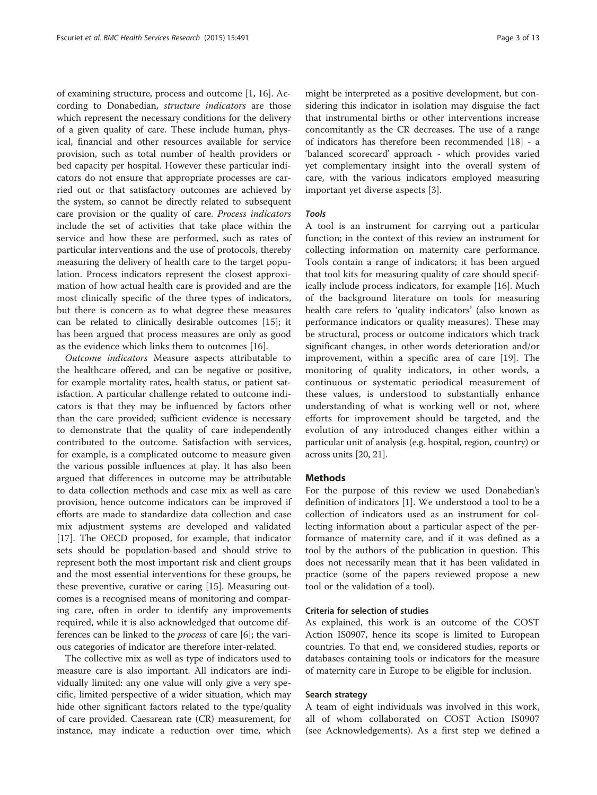of examining structure, process and outcome [[1, 16\]](#page-11-0). According to Donabedian, structure indicators are those which represent the necessary conditions for the delivery of a given quality of care. These include human, physical, financial and other resources available for service provision, such as total number of health providers or bed capacity per hospital. However these particular indicators do not ensure that appropriate processes are carried out or that satisfactory outcomes are achieved by the system, so cannot be directly related to subsequent care provision or the quality of care. Process indicators include the set of activities that take place within the service and how these are performed, such as rates of particular interventions and the use of protocols, thereby measuring the delivery of health care to the target population. Process indicators represent the closest approximation of how actual health care is provided and are the most clinically specific of the three types of indicators, but there is concern as to what degree these measures can be related to clinically desirable outcomes [[15\]](#page-11-0); it has been argued that process measures are only as good as the evidence which links them to outcomes [[16](#page-11-0)].

Outcome indicators Measure aspects attributable to the healthcare offered, and can be negative or positive, for example mortality rates, health status, or patient satisfaction. A particular challenge related to outcome indicators is that they may be influenced by factors other than the care provided; sufficient evidence is necessary to demonstrate that the quality of care independently contributed to the outcome. Satisfaction with services, for example, is a complicated outcome to measure given the various possible influences at play. It has also been argued that differences in outcome may be attributable to data collection methods and case mix as well as care provision, hence outcome indicators can be improved if efforts are made to standardize data collection and case mix adjustment systems are developed and validated [[17\]](#page-11-0). The OECD proposed, for example, that indicator sets should be population-based and should strive to represent both the most important risk and client groups and the most essential interventions for these groups, be these preventive, curative or caring [\[15](#page-11-0)]. Measuring outcomes is a recognised means of monitoring and comparing care, often in order to identify any improvements required, while it is also acknowledged that outcome differences can be linked to the process of care [[6\]](#page-11-0); the various categories of indicator are therefore inter-related.

The collective mix as well as type of indicators used to measure care is also important. All indicators are individually limited: any one value will only give a very specific, limited perspective of a wider situation, which may hide other significant factors related to the type/quality of care provided. Caesarean rate (CR) measurement, for instance, may indicate a reduction over time, which

might be interpreted as a positive development, but considering this indicator in isolation may disguise the fact that instrumental births or other interventions increase concomitantly as the CR decreases. The use of a range of indicators has therefore been recommended [\[18](#page-11-0)] - a 'balanced scorecard' approach - which provides varied yet complementary insight into the overall system of care, with the various indicators employed measuring important yet diverse aspects [[3](#page-11-0)].

#### Tools

A tool is an instrument for carrying out a particular function; in the context of this review an instrument for collecting information on maternity care performance. Tools contain a range of indicators; it has been argued that tool kits for measuring quality of care should specifically include process indicators, for example [\[16\]](#page-11-0). Much of the background literature on tools for measuring health care refers to 'quality indicators' (also known as performance indicators or quality measures). These may be structural, process or outcome indicators which track significant changes, in other words deterioration and/or improvement, within a specific area of care [\[19](#page-11-0)]. The monitoring of quality indicators, in other words, a continuous or systematic periodical measurement of these values, is understood to substantially enhance understanding of what is working well or not, where efforts for improvement should be targeted, and the evolution of any introduced changes either within a particular unit of analysis (e.g. hospital, region, country) or across units [[20](#page-11-0), [21\]](#page-11-0).

## Methods

For the purpose of this review we used Donabedian's definition of indicators [\[1](#page-11-0)]. We understood a tool to be a collection of indicators used as an instrument for collecting information about a particular aspect of the performance of maternity care, and if it was defined as a tool by the authors of the publication in question. This does not necessarily mean that it has been validated in practice (some of the papers reviewed propose a new tool or the validation of a tool).

#### Criteria for selection of studies

As explained, this work is an outcome of the COST Action IS0907, hence its scope is limited to European countries. To that end, we considered studies, reports or databases containing tools or indicators for the measure of maternity care in Europe to be eligible for inclusion.

#### Search strategy

A team of eight individuals was involved in this work, all of whom collaborated on COST Action IS0907 (see Acknowledgements). As a first step we defined a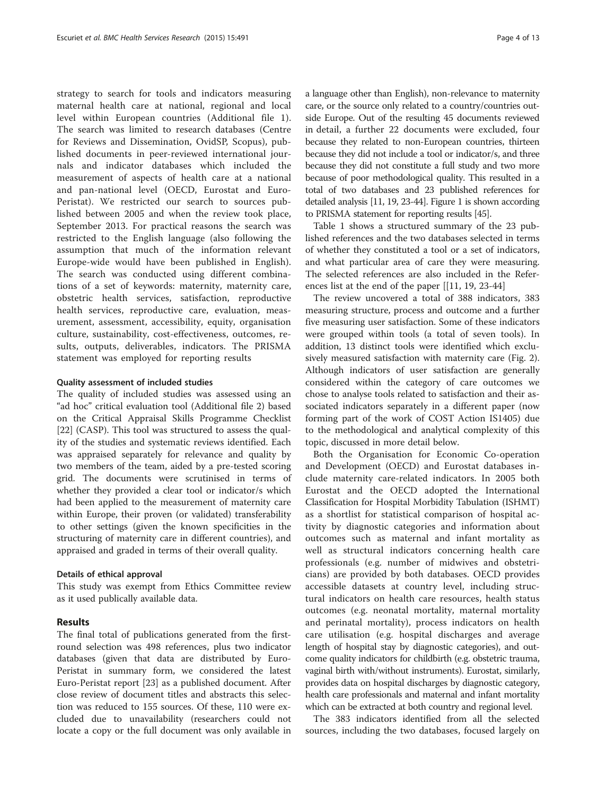strategy to search for tools and indicators measuring maternal health care at national, regional and local level within European countries (Additional file [1](#page-10-0)). The search was limited to research databases (Centre for Reviews and Dissemination, OvidSP, Scopus), published documents in peer-reviewed international journals and indicator databases which included the measurement of aspects of health care at a national and pan-national level (OECD, Eurostat and Euro-Peristat). We restricted our search to sources published between 2005 and when the review took place, September 2013. For practical reasons the search was restricted to the English language (also following the assumption that much of the information relevant Europe-wide would have been published in English). The search was conducted using different combinations of a set of keywords: maternity, maternity care, obstetric health services, satisfaction, reproductive health services, reproductive care, evaluation, measurement, assessment, accessibility, equity, organisation culture, sustainability, cost-effectiveness, outcomes, results, outputs, deliverables, indicators. The PRISMA statement was employed for reporting results

## Quality assessment of included studies

The quality of included studies was assessed using an "ad hoc" critical evaluation tool (Additional file [2\)](#page-10-0) based on the Critical Appraisal Skills Programme Checklist [[22\]](#page-11-0) (CASP). This tool was structured to assess the quality of the studies and systematic reviews identified. Each was appraised separately for relevance and quality by two members of the team, aided by a pre-tested scoring grid. The documents were scrutinised in terms of whether they provided a clear tool or indicator/s which had been applied to the measurement of maternity care within Europe, their proven (or validated) transferability to other settings (given the known specificities in the structuring of maternity care in different countries), and appraised and graded in terms of their overall quality.

### Details of ethical approval

This study was exempt from Ethics Committee review as it used publically available data.

#### Results

The final total of publications generated from the firstround selection was 498 references, plus two indicator databases (given that data are distributed by Euro-Peristat in summary form, we considered the latest Euro-Peristat report [\[23](#page-11-0)] as a published document. After close review of document titles and abstracts this selection was reduced to 155 sources. Of these, 110 were excluded due to unavailability (researchers could not locate a copy or the full document was only available in a language other than English), non-relevance to maternity care, or the source only related to a country/countries outside Europe. Out of the resulting 45 documents reviewed in detail, a further 22 documents were excluded, four because they related to non-European countries, thirteen because they did not include a tool or indicator/s, and three because they did not constitute a full study and two more because of poor methodological quality. This resulted in a total of two databases and 23 published references for detailed analysis [\[11, 19, 23-44](#page-11-0)]. Figure [1](#page-4-0) is shown according to PRISMA statement for reporting results [\[45\]](#page-11-0).

Table [1](#page-5-0) shows a structured summary of the 23 published references and the two databases selected in terms of whether they constituted a tool or a set of indicators, and what particular area of care they were measuring. The selected references are also included in the References list at the end of the paper [[\[11](#page-11-0), [19, 23-44](#page-11-0)]

The review uncovered a total of 388 indicators, 383 measuring structure, process and outcome and a further five measuring user satisfaction. Some of these indicators were grouped within tools (a total of seven tools). In addition, 13 distinct tools were identified which exclusively measured satisfaction with maternity care (Fig. [2](#page-6-0)). Although indicators of user satisfaction are generally considered within the category of care outcomes we chose to analyse tools related to satisfaction and their associated indicators separately in a different paper (now forming part of the work of COST Action IS1405) due to the methodological and analytical complexity of this topic, discussed in more detail below.

Both the Organisation for Economic Co-operation and Development (OECD) and Eurostat databases include maternity care-related indicators. In 2005 both Eurostat and the OECD adopted the International Classification for Hospital Morbidity Tabulation (ISHMT) as a shortlist for statistical comparison of hospital activity by diagnostic categories and information about outcomes such as maternal and infant mortality as well as structural indicators concerning health care professionals (e.g. number of midwives and obstetricians) are provided by both databases. OECD provides accessible datasets at country level, including structural indicators on health care resources, health status outcomes (e.g. neonatal mortality, maternal mortality and perinatal mortality), process indicators on health care utilisation (e.g. hospital discharges and average length of hospital stay by diagnostic categories), and outcome quality indicators for childbirth (e.g. obstetric trauma, vaginal birth with/without instruments). Eurostat, similarly, provides data on hospital discharges by diagnostic category, health care professionals and maternal and infant mortality which can be extracted at both country and regional level.

The 383 indicators identified from all the selected sources, including the two databases, focused largely on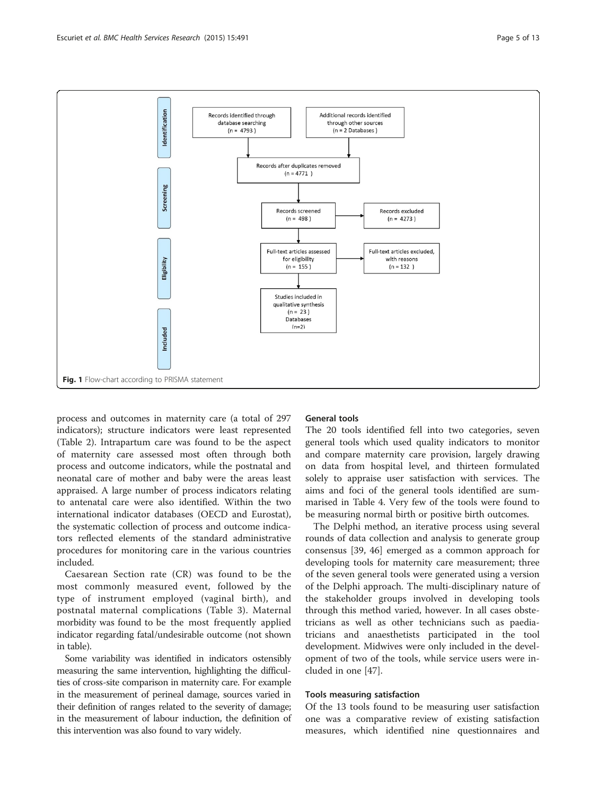<span id="page-4-0"></span>

process and outcomes in maternity care (a total of 297 indicators); structure indicators were least represented (Table [2\)](#page-6-0). Intrapartum care was found to be the aspect of maternity care assessed most often through both process and outcome indicators, while the postnatal and neonatal care of mother and baby were the areas least appraised. A large number of process indicators relating to antenatal care were also identified. Within the two international indicator databases (OECD and Eurostat), the systematic collection of process and outcome indicators reflected elements of the standard administrative procedures for monitoring care in the various countries included.

Caesarean Section rate (CR) was found to be the most commonly measured event, followed by the type of instrument employed (vaginal birth), and postnatal maternal complications (Table [3\)](#page-7-0). Maternal morbidity was found to be the most frequently applied indicator regarding fatal/undesirable outcome (not shown in table).

Some variability was identified in indicators ostensibly measuring the same intervention, highlighting the difficulties of cross-site comparison in maternity care. For example in the measurement of perineal damage, sources varied in their definition of ranges related to the severity of damage; in the measurement of labour induction, the definition of this intervention was also found to vary widely.

#### General tools

The 20 tools identified fell into two categories, seven general tools which used quality indicators to monitor and compare maternity care provision, largely drawing on data from hospital level, and thirteen formulated solely to appraise user satisfaction with services. The aims and foci of the general tools identified are summarised in Table [4.](#page-7-0) Very few of the tools were found to be measuring normal birth or positive birth outcomes.

The Delphi method, an iterative process using several rounds of data collection and analysis to generate group consensus [\[39](#page-11-0), [46\]](#page-11-0) emerged as a common approach for developing tools for maternity care measurement; three of the seven general tools were generated using a version of the Delphi approach. The multi-disciplinary nature of the stakeholder groups involved in developing tools through this method varied, however. In all cases obstetricians as well as other technicians such as paediatricians and anaesthetists participated in the tool development. Midwives were only included in the development of two of the tools, while service users were included in one [[47\]](#page-11-0).

## Tools measuring satisfaction

Of the 13 tools found to be measuring user satisfaction one was a comparative review of existing satisfaction measures, which identified nine questionnaires and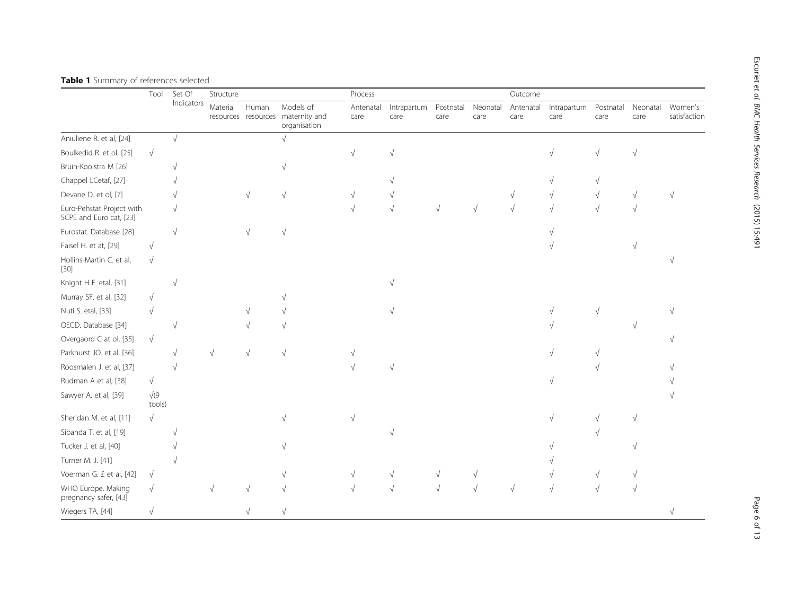<span id="page-5-0"></span>

|                                                      | Tool                 | Set Of<br>Indicators | Structure |                              |                                            | Process           |                     |                   |                  | Outcome           |                     |                   |                  |                         |
|------------------------------------------------------|----------------------|----------------------|-----------|------------------------------|--------------------------------------------|-------------------|---------------------|-------------------|------------------|-------------------|---------------------|-------------------|------------------|-------------------------|
|                                                      |                      |                      | Material  | Human<br>resources resources | Models of<br>maternity and<br>organisation | Antenatal<br>care | Intrapartum<br>care | Postnatal<br>care | Neonatal<br>care | Antenatal<br>care | Intrapartum<br>care | Postnatal<br>care | Neonatal<br>care | Women's<br>satisfaction |
| Aniuliene R. et al, [24]                             |                      | $\sqrt{ }$           |           |                              |                                            |                   |                     |                   |                  |                   |                     |                   |                  |                         |
| Boulkedid R. et ol, [25]                             | $\sqrt{}$            |                      |           |                              |                                            |                   |                     |                   |                  |                   |                     |                   |                  |                         |
| Bruin-Kooistra M [26]                                |                      |                      |           |                              |                                            |                   |                     |                   |                  |                   |                     |                   |                  |                         |
| Chappel LCetaf, [27]                                 |                      |                      |           |                              |                                            |                   |                     |                   |                  |                   |                     |                   |                  |                         |
| Devane D. et ol, [7]                                 |                      |                      |           |                              |                                            |                   |                     |                   |                  |                   |                     |                   |                  |                         |
| Euro-Pehstat Project with<br>SCPE and Euro cat, [23] |                      |                      |           |                              |                                            |                   |                     |                   |                  |                   |                     |                   |                  |                         |
| Eurostat. Database [28]                              |                      |                      |           |                              |                                            |                   |                     |                   |                  |                   |                     |                   |                  |                         |
| Faisel H. et at, [29]                                | $\sqrt{}$            |                      |           |                              |                                            |                   |                     |                   |                  |                   |                     |                   |                  |                         |
| Hollins-Martin C. et al,<br>$[30]$                   | $\sqrt{}$            |                      |           |                              |                                            |                   |                     |                   |                  |                   |                     |                   |                  |                         |
| Knight H E. etal, [31]                               |                      |                      |           |                              |                                            |                   |                     |                   |                  |                   |                     |                   |                  |                         |
| Murray SF. et al, [32]                               | $\sqrt{ }$           |                      |           |                              |                                            |                   |                     |                   |                  |                   |                     |                   |                  |                         |
| Nuti S. etal, [33]                                   |                      |                      |           |                              |                                            |                   |                     |                   |                  |                   |                     |                   |                  |                         |
| OECD. Database [34]                                  |                      |                      |           |                              |                                            |                   |                     |                   |                  |                   |                     |                   |                  |                         |
| Overgaord C at ol, [35]                              | $\sqrt{ }$           |                      |           |                              |                                            |                   |                     |                   |                  |                   |                     |                   |                  |                         |
| Parkhurst JO. et al, [36]                            |                      |                      |           |                              |                                            |                   |                     |                   |                  |                   |                     |                   |                  |                         |
| Roosmalen J. et al, [37]                             |                      |                      |           |                              |                                            |                   |                     |                   |                  |                   |                     |                   |                  |                         |
| Rudman A et al, [38]                                 | $\sqrt{}$            |                      |           |                              |                                            |                   |                     |                   |                  |                   |                     |                   |                  |                         |
| Sawyer A. et al, [39]                                | $\sqrt{9}$<br>tools) |                      |           |                              |                                            |                   |                     |                   |                  |                   |                     |                   |                  |                         |
| Sheridan M. et al, [11]                              | $\sqrt{}$            |                      |           |                              |                                            |                   |                     |                   |                  |                   |                     |                   |                  |                         |
| Sibanda T. et al, [19]                               |                      |                      |           |                              |                                            |                   |                     |                   |                  |                   |                     |                   |                  |                         |
| Tucker J. et al, [40]                                |                      |                      |           |                              |                                            |                   |                     |                   |                  |                   |                     |                   |                  |                         |
| Turner M. J. [41]                                    |                      |                      |           |                              |                                            |                   |                     |                   |                  |                   |                     |                   |                  |                         |
| Voerman G. £ et al, [42]                             | $\sqrt{ }$           |                      |           |                              |                                            |                   |                     |                   |                  |                   |                     |                   |                  |                         |
| WHO Europe. Making<br>pregnancy safer, [43]          | $\sqrt{}$            |                      |           |                              |                                            |                   |                     |                   |                  |                   |                     |                   |                  |                         |
| Wiegers TA, [44]                                     | $\sqrt{ }$           |                      |           |                              |                                            |                   |                     |                   |                  |                   |                     |                   |                  |                         |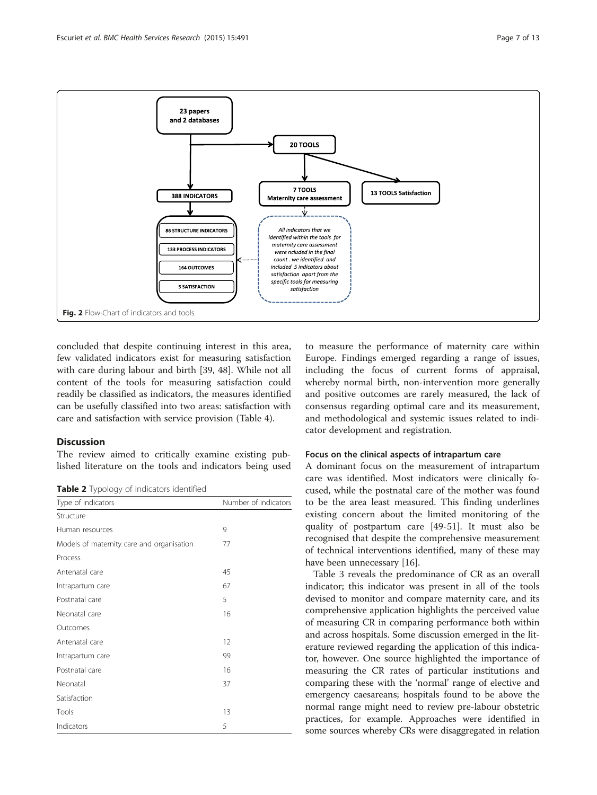<span id="page-6-0"></span>

concluded that despite continuing interest in this area, few validated indicators exist for measuring satisfaction with care during labour and birth [\[39](#page-11-0), [48](#page-12-0)]. While not all content of the tools for measuring satisfaction could readily be classified as indicators, the measures identified can be usefully classified into two areas: satisfaction with care and satisfaction with service provision (Table [4\)](#page-7-0).

### **Discussion**

The review aimed to critically examine existing published literature on the tools and indicators being used

**Table 2** Typology of indicators identified

| Type of indicators                        | Number of indicators |
|-------------------------------------------|----------------------|
| Structure                                 |                      |
| Human resources                           | 9                    |
| Models of maternity care and organisation | 77                   |
| Process                                   |                      |
| Antenatal care                            | 45                   |
| Intrapartum care                          | 67                   |
| Postnatal care                            | 5                    |
| Neonatal care                             | 16                   |
| Outcomes                                  |                      |
| Antenatal care                            | 12                   |
| Intrapartum care                          | 99                   |
| Postnatal care                            | 16                   |
| Neonatal                                  | 37                   |
| Satisfaction                              |                      |
| Tools                                     | 13                   |
| Indicators                                | 5                    |

to measure the performance of maternity care within Europe. Findings emerged regarding a range of issues, including the focus of current forms of appraisal, whereby normal birth, non-intervention more generally and positive outcomes are rarely measured, the lack of consensus regarding optimal care and its measurement, and methodological and systemic issues related to indicator development and registration.

#### Focus on the clinical aspects of intrapartum care

A dominant focus on the measurement of intrapartum care was identified. Most indicators were clinically focused, while the postnatal care of the mother was found to be the area least measured. This finding underlines existing concern about the limited monitoring of the quality of postpartum care [[49-51\]](#page-12-0). It must also be recognised that despite the comprehensive measurement of technical interventions identified, many of these may have been unnecessary [\[16\]](#page-11-0).

Table [3](#page-7-0) reveals the predominance of CR as an overall indicator; this indicator was present in all of the tools devised to monitor and compare maternity care, and its comprehensive application highlights the perceived value of measuring CR in comparing performance both within and across hospitals. Some discussion emerged in the literature reviewed regarding the application of this indicator, however. One source highlighted the importance of measuring the CR rates of particular institutions and comparing these with the 'normal' range of elective and emergency caesareans; hospitals found to be above the normal range might need to review pre-labour obstetric practices, for example. Approaches were identified in some sources whereby CRs were disaggregated in relation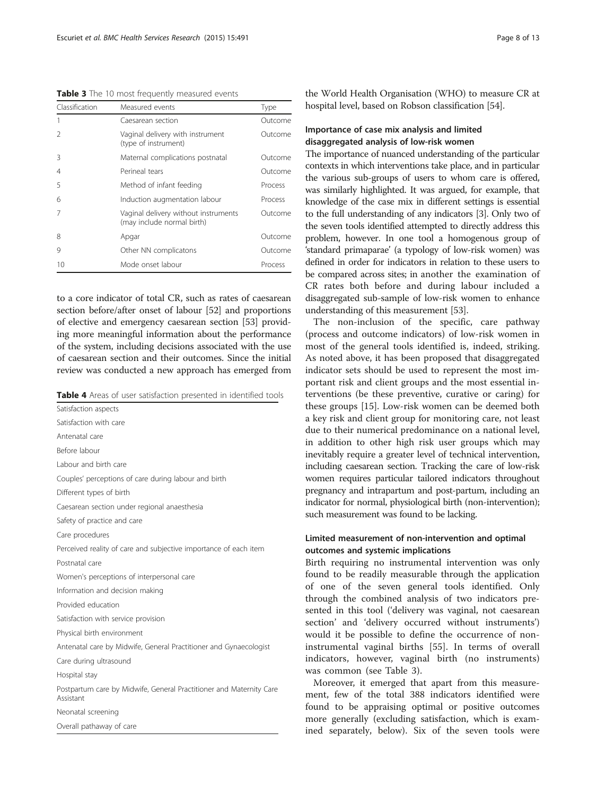<span id="page-7-0"></span>Table 3 The 10 most frequently measured events

| Classification | Measured events                                                    | Type    |
|----------------|--------------------------------------------------------------------|---------|
|                | Caesarean section                                                  | Outcome |
| 2              | Vaginal delivery with instrument<br>(type of instrument)           | Outcome |
| Β              | Maternal complications postnatal                                   | Outcome |
| $\overline{4}$ | Perineal tears                                                     | Outcome |
| 5              | Method of infant feeding                                           | Process |
| 6              | Induction augmentation labour                                      | Process |
|                | Vaginal delivery without instruments<br>(may include normal birth) | Outcome |
| 8              | Apgar                                                              | Outcome |
| 9              | Other NN complicatons                                              | Outcome |
| 10             | Mode onset labour                                                  | Process |

to a core indicator of total CR, such as rates of caesarean section before/after onset of labour [\[52\]](#page-12-0) and proportions of elective and emergency caesarean section [[53](#page-12-0)] providing more meaningful information about the performance of the system, including decisions associated with the use of caesarean section and their outcomes. Since the initial review was conducted a new approach has emerged from

Table 4 Areas of user satisfaction presented in identified tools

| Satisfaction aspects                                                             |  |
|----------------------------------------------------------------------------------|--|
| Satisfaction with care                                                           |  |
| Antenatal care                                                                   |  |
| Before labour                                                                    |  |
| Labour and birth care                                                            |  |
| Couples' perceptions of care during labour and birth                             |  |
| Different types of birth                                                         |  |
| Caesarean section under regional anaesthesia                                     |  |
| Safety of practice and care                                                      |  |
| Care procedures                                                                  |  |
| Perceived reality of care and subjective importance of each item                 |  |
| Postnatal care                                                                   |  |
| Women's perceptions of interpersonal care                                        |  |
| Information and decision making                                                  |  |
| Provided education                                                               |  |
| Satisfaction with service provision                                              |  |
| Physical birth environment                                                       |  |
| Antenatal care by Midwife, General Practitioner and Gynaecologist                |  |
| Care during ultrasound                                                           |  |
| Hospital stay                                                                    |  |
| Postpartum care by Midwife, General Practitioner and Maternity Care<br>Assistant |  |
| Neonatal screening                                                               |  |
| Overall pathaway of care                                                         |  |
|                                                                                  |  |

the World Health Organisation (WHO) to measure CR at hospital level, based on Robson classification [\[54\]](#page-12-0).

## Importance of case mix analysis and limited disaggregated analysis of low-risk women

The importance of nuanced understanding of the particular contexts in which interventions take place, and in particular the various sub-groups of users to whom care is offered, was similarly highlighted. It was argued, for example, that knowledge of the case mix in different settings is essential to the full understanding of any indicators [\[3\]](#page-11-0). Only two of the seven tools identified attempted to directly address this problem, however. In one tool a homogenous group of 'standard primaparae' (a typology of low-risk women) was defined in order for indicators in relation to these users to be compared across sites; in another the examination of CR rates both before and during labour included a disaggregated sub-sample of low-risk women to enhance understanding of this measurement [[53](#page-12-0)].

The non-inclusion of the specific, care pathway (process and outcome indicators) of low-risk women in most of the general tools identified is, indeed, striking. As noted above, it has been proposed that disaggregated indicator sets should be used to represent the most important risk and client groups and the most essential interventions (be these preventive, curative or caring) for these groups [\[15](#page-11-0)]. Low-risk women can be deemed both a key risk and client group for monitoring care, not least due to their numerical predominance on a national level, in addition to other high risk user groups which may inevitably require a greater level of technical intervention, including caesarean section. Tracking the care of low-risk women requires particular tailored indicators throughout pregnancy and intrapartum and post-partum, including an indicator for normal, physiological birth (non-intervention); such measurement was found to be lacking.

## Limited measurement of non-intervention and optimal outcomes and systemic implications

Birth requiring no instrumental intervention was only found to be readily measurable through the application of one of the seven general tools identified. Only through the combined analysis of two indicators presented in this tool ('delivery was vaginal, not caesarean section' and 'delivery occurred without instruments') would it be possible to define the occurrence of noninstrumental vaginal births [[55\]](#page-12-0). In terms of overall indicators, however, vaginal birth (no instruments) was common (see Table 3).

Moreover, it emerged that apart from this measurement, few of the total 388 indicators identified were found to be appraising optimal or positive outcomes more generally (excluding satisfaction, which is examined separately, below). Six of the seven tools were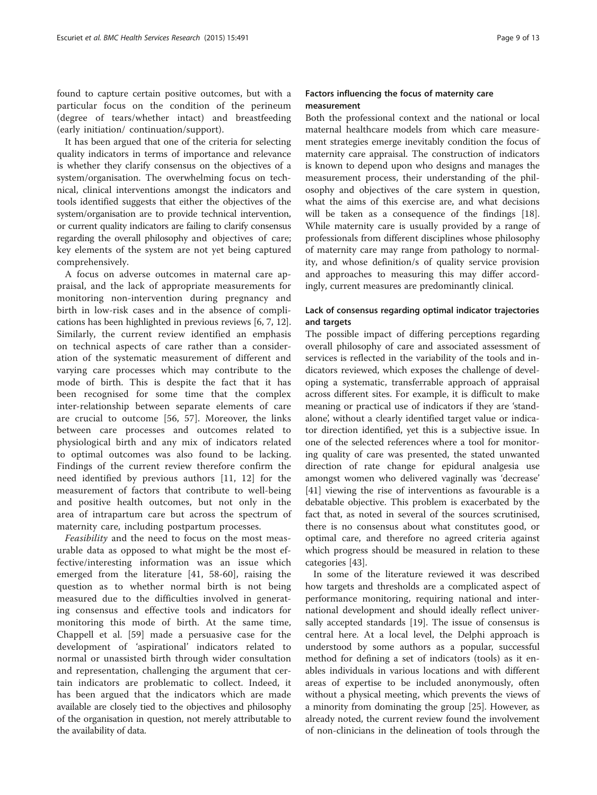found to capture certain positive outcomes, but with a particular focus on the condition of the perineum (degree of tears/whether intact) and breastfeeding (early initiation/ continuation/support).

It has been argued that one of the criteria for selecting quality indicators in terms of importance and relevance is whether they clarify consensus on the objectives of a system/organisation. The overwhelming focus on technical, clinical interventions amongst the indicators and tools identified suggests that either the objectives of the system/organisation are to provide technical intervention, or current quality indicators are failing to clarify consensus regarding the overall philosophy and objectives of care; key elements of the system are not yet being captured comprehensively.

A focus on adverse outcomes in maternal care appraisal, and the lack of appropriate measurements for monitoring non-intervention during pregnancy and birth in low-risk cases and in the absence of complications has been highlighted in previous reviews [\[6](#page-11-0), [7, 12](#page-11-0)]. Similarly, the current review identified an emphasis on technical aspects of care rather than a consideration of the systematic measurement of different and varying care processes which may contribute to the mode of birth. This is despite the fact that it has been recognised for some time that the complex inter-relationship between separate elements of care are crucial to outcome [[56, 57](#page-12-0)]. Moreover, the links between care processes and outcomes related to physiological birth and any mix of indicators related to optimal outcomes was also found to be lacking. Findings of the current review therefore confirm the need identified by previous authors [\[11](#page-11-0), [12](#page-11-0)] for the measurement of factors that contribute to well-being and positive health outcomes, but not only in the area of intrapartum care but across the spectrum of maternity care, including postpartum processes.

Feasibility and the need to focus on the most measurable data as opposed to what might be the most effective/interesting information was an issue which emerged from the literature [[41,](#page-11-0) [58-60](#page-12-0)], raising the question as to whether normal birth is not being measured due to the difficulties involved in generating consensus and effective tools and indicators for monitoring this mode of birth. At the same time, Chappell et al. [[59\]](#page-12-0) made a persuasive case for the development of 'aspirational' indicators related to normal or unassisted birth through wider consultation and representation, challenging the argument that certain indicators are problematic to collect. Indeed, it has been argued that the indicators which are made available are closely tied to the objectives and philosophy of the organisation in question, not merely attributable to the availability of data.

## Factors influencing the focus of maternity care measurement

Both the professional context and the national or local maternal healthcare models from which care measurement strategies emerge inevitably condition the focus of maternity care appraisal. The construction of indicators is known to depend upon who designs and manages the measurement process, their understanding of the philosophy and objectives of the care system in question, what the aims of this exercise are, and what decisions will be taken as a consequence of the findings [\[18](#page-11-0)]. While maternity care is usually provided by a range of professionals from different disciplines whose philosophy of maternity care may range from pathology to normality, and whose definition/s of quality service provision and approaches to measuring this may differ accordingly, current measures are predominantly clinical.

## Lack of consensus regarding optimal indicator trajectories and targets

The possible impact of differing perceptions regarding overall philosophy of care and associated assessment of services is reflected in the variability of the tools and indicators reviewed, which exposes the challenge of developing a systematic, transferrable approach of appraisal across different sites. For example, it is difficult to make meaning or practical use of indicators if they are 'standalone', without a clearly identified target value or indicator direction identified, yet this is a subjective issue. In one of the selected references where a tool for monitoring quality of care was presented, the stated unwanted direction of rate change for epidural analgesia use amongst women who delivered vaginally was 'decrease' [[41\]](#page-11-0) viewing the rise of interventions as favourable is a debatable objective. This problem is exacerbated by the fact that, as noted in several of the sources scrutinised, there is no consensus about what constitutes good, or optimal care, and therefore no agreed criteria against which progress should be measured in relation to these categories [\[43](#page-11-0)].

In some of the literature reviewed it was described how targets and thresholds are a complicated aspect of performance monitoring, requiring national and international development and should ideally reflect universally accepted standards [\[19\]](#page-11-0). The issue of consensus is central here. At a local level, the Delphi approach is understood by some authors as a popular, successful method for defining a set of indicators (tools) as it enables individuals in various locations and with different areas of expertise to be included anonymously, often without a physical meeting, which prevents the views of a minority from dominating the group [[25](#page-11-0)]. However, as already noted, the current review found the involvement of non-clinicians in the delineation of tools through the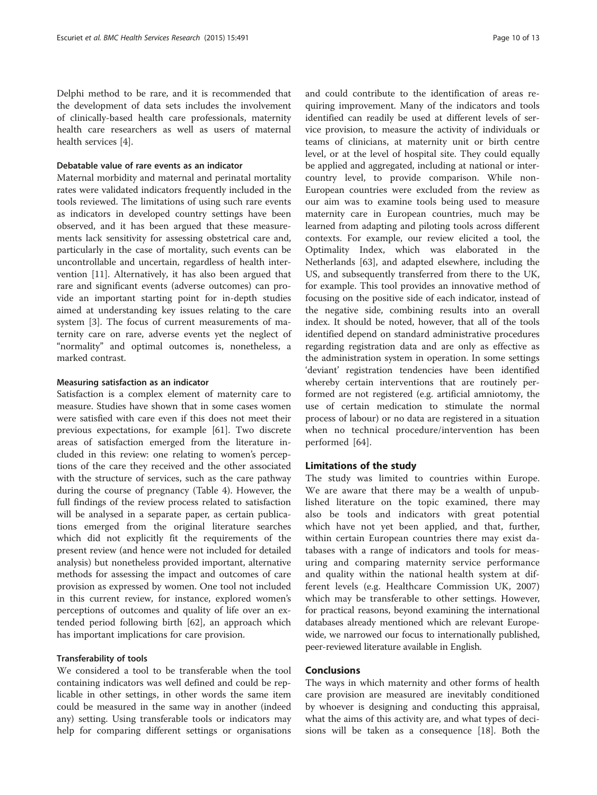Delphi method to be rare, and it is recommended that the development of data sets includes the involvement of clinically-based health care professionals, maternity health care researchers as well as users of maternal health services [[4\]](#page-11-0).

#### Debatable value of rare events as an indicator

Maternal morbidity and maternal and perinatal mortality rates were validated indicators frequently included in the tools reviewed. The limitations of using such rare events as indicators in developed country settings have been observed, and it has been argued that these measurements lack sensitivity for assessing obstetrical care and, particularly in the case of mortality, such events can be uncontrollable and uncertain, regardless of health intervention [[11](#page-11-0)]. Alternatively, it has also been argued that rare and significant events (adverse outcomes) can provide an important starting point for in-depth studies aimed at understanding key issues relating to the care system [[3\]](#page-11-0). The focus of current measurements of maternity care on rare, adverse events yet the neglect of "normality" and optimal outcomes is, nonetheless, a marked contrast.

### Measuring satisfaction as an indicator

Satisfaction is a complex element of maternity care to measure. Studies have shown that in some cases women were satisfied with care even if this does not meet their previous expectations, for example [[61\]](#page-12-0). Two discrete areas of satisfaction emerged from the literature included in this review: one relating to women's perceptions of the care they received and the other associated with the structure of services, such as the care pathway during the course of pregnancy (Table [4\)](#page-7-0). However, the full findings of the review process related to satisfaction will be analysed in a separate paper, as certain publications emerged from the original literature searches which did not explicitly fit the requirements of the present review (and hence were not included for detailed analysis) but nonetheless provided important, alternative methods for assessing the impact and outcomes of care provision as expressed by women. One tool not included in this current review, for instance, explored women's perceptions of outcomes and quality of life over an extended period following birth [[62\]](#page-12-0), an approach which has important implications for care provision.

## Transferability of tools

We considered a tool to be transferable when the tool containing indicators was well defined and could be replicable in other settings, in other words the same item could be measured in the same way in another (indeed any) setting. Using transferable tools or indicators may help for comparing different settings or organisations

and could contribute to the identification of areas requiring improvement. Many of the indicators and tools identified can readily be used at different levels of service provision, to measure the activity of individuals or teams of clinicians, at maternity unit or birth centre level, or at the level of hospital site. They could equally be applied and aggregated, including at national or intercountry level, to provide comparison. While non-European countries were excluded from the review as our aim was to examine tools being used to measure maternity care in European countries, much may be learned from adapting and piloting tools across different contexts. For example, our review elicited a tool, the Optimality Index, which was elaborated in the Netherlands [[63\]](#page-12-0), and adapted elsewhere, including the US, and subsequently transferred from there to the UK, for example. This tool provides an innovative method of focusing on the positive side of each indicator, instead of the negative side, combining results into an overall index. It should be noted, however, that all of the tools identified depend on standard administrative procedures regarding registration data and are only as effective as the administration system in operation. In some settings 'deviant' registration tendencies have been identified whereby certain interventions that are routinely performed are not registered (e.g. artificial amniotomy, the use of certain medication to stimulate the normal process of labour) or no data are registered in a situation when no technical procedure/intervention has been performed [\[64](#page-12-0)].

## Limitations of the study

The study was limited to countries within Europe. We are aware that there may be a wealth of unpublished literature on the topic examined, there may also be tools and indicators with great potential which have not yet been applied, and that, further, within certain European countries there may exist databases with a range of indicators and tools for measuring and comparing maternity service performance and quality within the national health system at different levels (e.g. Healthcare Commission UK, 2007) which may be transferable to other settings. However, for practical reasons, beyond examining the international databases already mentioned which are relevant Europewide, we narrowed our focus to internationally published, peer-reviewed literature available in English.

#### Conclusions

The ways in which maternity and other forms of health care provision are measured are inevitably conditioned by whoever is designing and conducting this appraisal, what the aims of this activity are, and what types of decisions will be taken as a consequence [[18\]](#page-11-0). Both the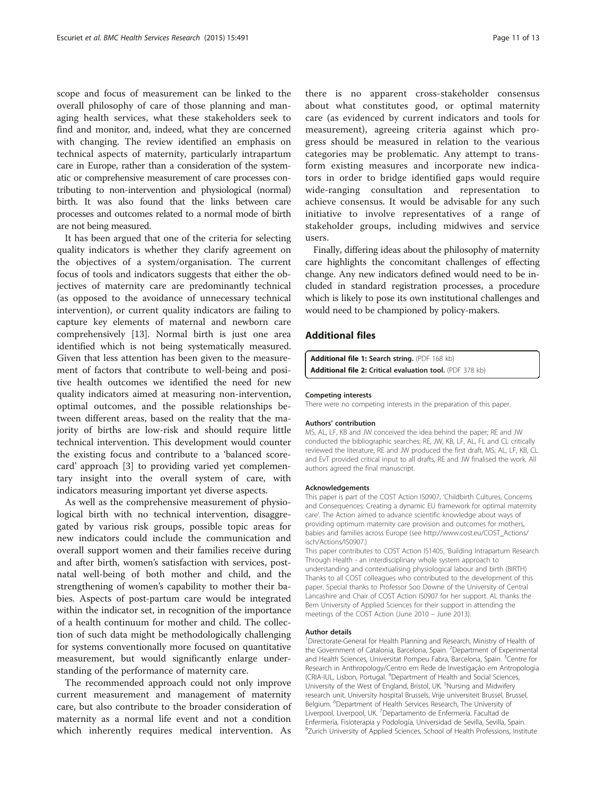<span id="page-10-0"></span>scope and focus of measurement can be linked to the overall philosophy of care of those planning and managing health services, what these stakeholders seek to find and monitor, and, indeed, what they are concerned with changing. The review identified an emphasis on technical aspects of maternity, particularly intrapartum care in Europe, rather than a consideration of the systematic or comprehensive measurement of care processes contributing to non-intervention and physiological (normal) birth. It was also found that the links between care processes and outcomes related to a normal mode of birth are not being measured.

It has been argued that one of the criteria for selecting quality indicators is whether they clarify agreement on the objectives of a system/organisation. The current focus of tools and indicators suggests that either the objectives of maternity care are predominantly technical (as opposed to the avoidance of unnecessary technical intervention), or current quality indicators are failing to capture key elements of maternal and newborn care comprehensively [\[13](#page-11-0)]. Normal birth is just one area identified which is not being systematically measured. Given that less attention has been given to the measurement of factors that contribute to well-being and positive health outcomes we identified the need for new quality indicators aimed at measuring non-intervention, optimal outcomes, and the possible relationships between different areas, based on the reality that the majority of births are low-risk and should require little technical intervention. This development would counter the existing focus and contribute to a 'balanced scorecard' approach [\[3](#page-11-0)] to providing varied yet complementary insight into the overall system of care, with indicators measuring important yet diverse aspects.

As well as the comprehensive measurement of physiological birth with no technical intervention, disaggregated by various risk groups, possible topic areas for new indicators could include the communication and overall support women and their families receive during and after birth, women's satisfaction with services, postnatal well-being of both mother and child, and the strengthening of women's capability to mother their babies. Aspects of post-partum care would be integrated within the indicator set, in recognition of the importance of a health continuum for mother and child. The collection of such data might be methodologically challenging for systems conventionally more focused on quantitative measurement, but would significantly enlarge understanding of the performance of maternity care.

The recommended approach could not only improve current measurement and management of maternity care, but also contribute to the broader consideration of maternity as a normal life event and not a condition which inherently requires medical intervention. As

there is no apparent cross-stakeholder consensus about what constitutes good, or optimal maternity care (as evidenced by current indicators and tools for measurement), agreeing criteria against which progress should be measured in relation to the vearious categories may be problematic. Any attempt to transform existing measures and incorporate new indicators in order to bridge identified gaps would require wide-ranging consultation and representation to achieve consensus. It would be advisable for any such initiative to involve representatives of a range of stakeholder groups, including midwives and service users.

Finally, differing ideas about the philosophy of maternity care highlights the concomitant challenges of effecting change. Any new indicators defined would need to be included in standard registration processes, a procedure which is likely to pose its own institutional challenges and would need to be championed by policy-makers.

#### Additional files

[Additional file 1:](dx.doi.org/10.1186/s12913-015-1151-2) Search string. (PDF 168 kb) [Additional file 2:](dx.doi.org/10.1186/s12913-015-1151-2) Critical evaluation tool. (PDF 378 kb)

#### Competing interests

There were no competing interests in the preparation of this paper.

#### Authors' contribution

MS, AL, LF, KB and JW conceived the idea behind the paper; RE and JW conducted the bibliographic searches; RE, JW, KB, LF, AL, FL and CL critically reviewed the literature, RE and JW produced the first draft, MS, AL, LF, KB, CL and EvT provided critical input to all drafts, RE and JW finalised the work. All authors agreed the final manuscript.

#### Acknowledgements

This paper is part of the COST Action IS0907, 'Childbirth Cultures, Concerns and Consequences: Creating a dynamic EU framework for optimal maternity care'. The Action aimed to advance scientific knowledge about ways of providing optimum maternity care provision and outcomes for mothers, babies and families across Europe (see [http://www.cost.eu/COST\\_Actions/](http://www.cost.eu/COST_Actions/isch/Actions/IS0907) [isch/Actions/IS0907](http://www.cost.eu/COST_Actions/isch/Actions/IS0907).)

This paper contributes to COST Action IS1405, 'Building Intrapartum Research Through Health - an interdisciplinary whole system approach to understanding and contextualising physiological labour and birth (BIRTH) Thanks to all COST colleagues who contributed to the development of this paper. Special thanks to Professor Soo Downe of the University of Central Lancashire and Chair of COST Action IS0907 for her support. AL thanks the Bern University of Applied Sciences for their support in attending the meetings of the COST Action (June 2010 – June 2013).

#### Author details

<sup>1</sup>Directorate-General for Health Planning and Research, Ministry of Health of the Government of Catalonia, Barcelona, Spain. <sup>2</sup>Department of Experimental and Health Sciences, Universitat Pompeu Fabra, Barcelona, Spain. <sup>3</sup>Centre for Research in Anthropology/Centro em Rede de Investigação em Antropologia (CRIA-IUL, Lisbon, Portugal. <sup>4</sup> Department of Health and Social Sciences, University of the West of England, Bristol, UK.<sup>5</sup>Nursing and Midwifery research unit, University hospital Brussels, Vrije universiteit Brussel, Brussel, Belgium. <sup>6</sup>Department of Health Services Research, The University of Liverpool, Liverpool, UK. <sup>7</sup>Departamento de Enfermería. Facultad de Enfermería, Fisioterapia y Podología, Universidad de Sevilla, Sevilla, Spain. <sup>8</sup>Zurich University of Applied Sciences, School of Health Professions, Institute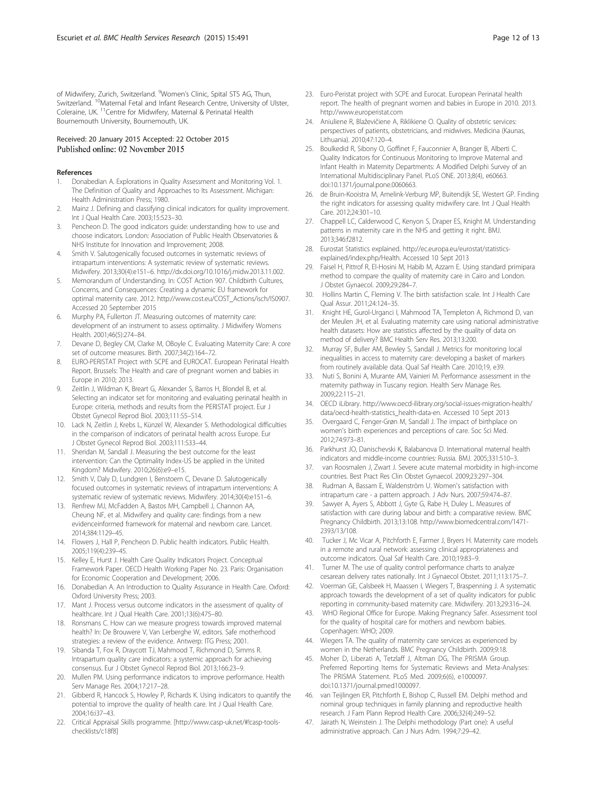<span id="page-11-0"></span>of Midwifery, Zurich, Switzerland. <sup>9</sup>Women's Clinic, Spital STS AG, Thun, Switzerland. <sup>10</sup>Maternal Fetal and Infant Research Centre, University of Ulster, Coleraine, UK. 11Centre for Midwifery, Maternal & Perinatal Health Bournemouth University, Bournemouth, UK.

#### Received: 20 January 2015 Accepted: 22 October 2015 Published online: 02 November 2015

#### References

- 1. Donabedian A. Explorations in Quality Assessment and Monitoring Vol. 1. The Definition of Quality and Approaches to Its Assessment. Michigan: Health Administration Press; 1980.
- 2. Mainz J. Defining and classifying clinical indicators for quality improvement. Int J Qual Health Care. 2003;15:523–30.
- 3. Pencheon D. The good indicators guide: understanding how to use and choose indicators. London: Association of Public Health Observatories & NHS Institute for Innovation and Improvement; 2008.
- 4. Smith V. Salutogenically focused outcomes in systematic reviews of intrapartum interventions: A systematic review of systematic reviews. Midwifery. 2013;30(4):e151–6. http://dx.doi.org[/10.1016/j.midw.2013.11.002.](http://dx.doi.org/10.1016/j.midw.2013.11.002)
- 5. Memorandum of Understanding. In: COST Action 907. Childbirth Cultures, Concerns, and Consequences: Creating a dynamic EU framework for optimal maternity care. 2012. [http://www.cost.eu/COST\\_Actions/isch/IS0907](http://www.cost.eu/COST_Actions/isch/IS0907). Accessed 20 September 2015
- 6. Murphy PA, Fullerton JT. Measuring outcomes of maternity care: development of an instrument to assess optimality. J Midwifery Womens Health. 2001;46(5):274–84.
- 7. Devane D, Begley CM, Clarke M, OBoyle C. Evaluating Maternity Care: A core set of outcome measures. Birth. 2007;34(2):164–72.
- 8. EURO-PERISTAT Project with SCPE and EUROCAT. European Perinatal Health Report. Brussels: The Health and care of pregnant women and babies in Europe in 2010; 2013.
- Zeitlin J, Wildman K, Breart G, Alexander S, Barros H, Blondel B, et al. Selecting an indicator set for monitoring and evaluating perinatal health in Europe: criteria, methods and results from the PERISTAT project. Eur J Obstet Gynecol Reprod Biol. 2003;111:S5–S14.
- 10. Lack N, Zeitlin J, Krebs L, Künzel W, Alexander S. Methodological difficulties in the comparison of indicators of perinatal health across Europe. Eur J Obstet Gynecol Reprod Biol. 2003;111:S33–44.
- 11. Sheridan M, Sandall J. Measuring the best outcome for the least intervention: Can the Optimality Index-US be applied in the United Kingdom? Midwifery. 2010;26(6):e9–e15.
- 12. Smith V, Daly D, Lundgren I, Benstoem C, Devane D. Salutogenically focused outcomes in systematic reviews of intrapartum interventions: A systematic review of systematic reviews. Midwifery. 2014;30(4):e151–6.
- 13. Renfrew MJ, McFadden A, Bastos MH, Campbell J, Channon AA, Cheung NF, et al. Midwifery and quality care: findings from a new evidenceinformed framework for maternal and newborn care. Lancet. 2014;384:1129–45.
- 14. Flowers J, Hall P, Pencheon D. Public health indicators. Public Health. 2005;119(4):239–45.
- 15. Kelley E, Hurst J. Health Care Quality Indicators Project. Conceptual Framework Paper. OECD Health Working Paper No. 23. Paris: Organisation for Economic Cooperation and Development; 2006.
- 16. Donabedian A. An Introduction to Quality Assurance in Health Care. Oxford: Oxford University Press; 2003.
- 17. Mant J. Process versus outcome indicators in the assessment of quality of healthcare. Int J Qual Health Care. 2001;13(6):475–80.
- 18. Ronsmans C. How can we measure progress towards improved maternal health? In: De Brouwere V, Van Lerberghe W, editors. Safe motherhood strategies: a review of the evidence. Antwerp: ITG Press; 2001.
- 19. Sibanda T, Fox R, Draycott TJ, Mahmood T, Richmond D, Simms R. Intrapartum quality care indicators: a systemic approach for achieving consensus. Eur J Obstet Gynecol Reprod Biol. 2013;166:23–9.
- 20. Mullen PM. Using performance indicators to improve performance. Health Serv Manage Res. 2004;17:217–28.
- 21. Gibberd R, Hancock S, Howley P, Richards K. Using indicators to quantify the potential to improve the quality of health care. Int J Qual Health Care. 2004;16:i37–43.
- 22. Critical Appraisal Skills programme. [\[http://www.casp-uk.net/#!casp-tools](http://www.casp-uk.net/#!casp-tools-checklists/c18f8)[checklists/c18f8](http://www.casp-uk.net/#!casp-tools-checklists/c18f8)]
- 23. Euro-Peristat project with SCPE and Eurocat. European Perinatal health report. The health of pregnant women and babies in Europe in 2010. 2013. <http://www.europeristat.com>
- 24. Aniuliene R, Blaževičiene A, Riklikiene O. Quality of obstetric services: perspectives of patients, obstetricians, and midwives. Medicina (Kaunas, Lithuania). 2010;47:120–4.
- 25. Boulkedid R, Sibony O, Goffinet F, Fauconnier A, Branger B, Alberti C. Quality Indicators for Continuous Monitoring to Improve Maternal and Infant Health in Maternity Departments: A Modified Delphi Survey of an International Multidisciplinary Panel. PLoS ONE. 2013;8(4), e60663. doi[:10.1371/journal.pone.0060663.](http://dx.doi.org/10.1371/journal.pone.0060663)
- 26. de Bruin-Kooistra M, Amelink-Verburg MP, Buitendijk SE, Westert GP. Finding the right indicators for assessing quality midwifery care. Int J Qual Health Care. 2012;24:301–10.
- 27. Chappell LC, Calderwood C, Kenyon S, Draper ES, Knight M. Understanding patterns in maternity care in the NHS and getting it right. BMJ. 2013;346:f2812.
- 28. Eurostat Statistics explained. [http://ec.europa.eu/eurostat/statistics](http://ec.europa.eu/eurostat/statistics-explained/index.php/Health)[explained/index.php/Health.](http://ec.europa.eu/eurostat/statistics-explained/index.php/Health) Accessed 10 Sept 2013
- 29. Faisel H, Pittrof R, El-Hosini M, Habib M, Azzam E. Using standard primipara method to compare the quality of maternity care in Cairo and London. J Obstet Gynaecol. 2009;29:284–7.
- 30. Hollins Martin C, Fleming V. The birth satisfaction scale. Int J Health Care Qual Assur. 2011;24:124–35.
- 31. Knight HE, Gurol-Urganci I, Mahmood TA, Templeton A, Richmond D, van der Meulen JH, et al. Evaluating maternity care using national administrative health datasets: How are statistics affected by the quality of data on method of delivery? BMC Health Serv Res. 2013;13:200.
- 32. Murray SF, Buller AM, Bewley S, Sandall J. Metrics for monitoring local inequalities in access to maternity care: developing a basket of markers from routinely available data. Qual Saf Health Care. 2010;19, e39.
- 33. Nuti S, Bonini A, Murante AM, Vainieri M. Performance assessment in the maternity pathway in Tuscany region. Health Serv Manage Res. 2009;22:115–21.
- 34. OECD iLibrary. [http://www.oecd-ilibrary.org/social-issues-migration-health/](http://www.oecd-ilibrary.org/social-issues-migration-health/data/oecd-health-statistics_health-data-en) [data/oecd-health-statistics\\_health-data-en](http://www.oecd-ilibrary.org/social-issues-migration-health/data/oecd-health-statistics_health-data-en). Accessed 10 Sept 2013
- 35. Overgaard C, Fenger-Grøn M, Sandall J. The impact of birthplace on women's birth experiences and perceptions of care. Soc Sci Med. 2012;74:973–81.
- 36. Parkhurst JO, Danischevski K, Balabanova D. International maternal health indicators and middle-income countries: Russia. BMJ. 2005;331:510–3.
- 37. van Roosmalen J, Zwart J. Severe acute maternal morbidity in high-income countries. Best Pract Res Clin Obstet Gynaecol. 2009;23:297–304.
- 38. Rudman A, Bassam E, Waldenström U. Women's satisfaction with intrapartum care - a pattern approach. J Adv Nurs. 2007;59:474–87.
- 39. Sawyer A, Ayers S, Abbott J, Gyte G, Rabe H, Duley L. Measures of satisfaction with care during labour and birth: a comparative review. BMC Pregnancy Childbirth. 2013;13:108. [http://www.biomedcentral.com/1471-](http://www.biomedcentral.com/1471-2393/13/108) [2393/13/108](http://www.biomedcentral.com/1471-2393/13/108).
- 40. Tucker J, Mc Vicar A, Pitchforth E, Farmer J, Bryers H. Maternity care models in a remote and rural network: assessing clinical appropriateness and outcome indicators. Qual Saf Health Care. 2010;19:83–9.
- 41. Turner M. The use of quality control performance charts to analyze cesarean delivery rates nationally. Int J Gynaecol Obstet. 2011;113:175–7.
- 42. Voerman GE, Calsbeek H, Maassen I, Wiegers T, Braspenning J. A systematic approach towards the development of a set of quality indicators for public reporting in community-based maternity care. Midwifery. 2013;29:316–24.
- 43. WHO Regional Office for Europe. Making Pregnancy Safer. Assessment tool for the quality of hospital care for mothers and newborn babies. Copenhagen: WHO; 2009.
- 44. Wiegers TA. The quality of maternity care services as experienced by women in the Netherlands. BMC Pregnancy Childbirth. 2009;9:18.
- 45. Moher D, Liberati A, Tetzlaff J, Altman DG, The PRISMA Group. Preferred Reporting Items for Systematic Reviews and Meta-Analyses: The PRISMA Statement. PLoS Med. 2009;6(6), e1000097. doi[:10.1371/journal.pmed1000097](http://dx.doi.org/10.1371/journal.pmed1000097).
- 46. van Teijlingen ER, Pitchforth E, Bishop C, Russell EM. Delphi method and nominal group techniques in family planning and reproductive health research. J Fam Plann Reprod Health Care. 2006;32(4):249–52.
- 47. Jairath N, Weinstein J. The Delphi methodology (Part one): A useful administrative approach. Can J Nurs Adm. 1994;7:29–42.